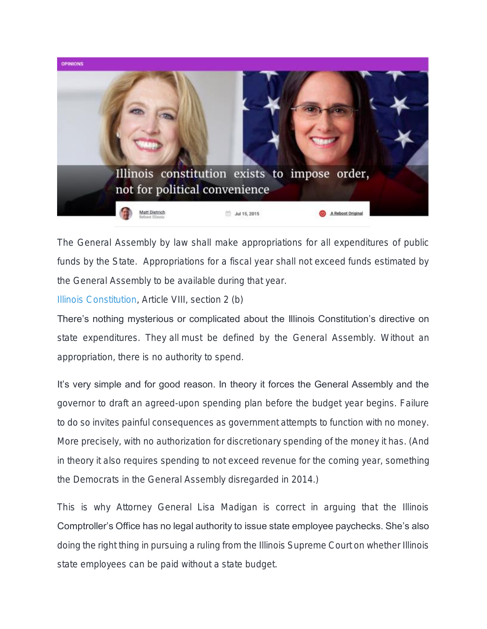

*The General Assembly by law shall make appropriations for all expenditures of public funds by the State. Appropriations for a fiscal year shall not exceed funds estimated by the General Assembly to be available during that year.*

[Illinois Constitution,](http://www.ilga.gov/commission/lrb/con8.htm) Article VIII, section 2 (b)

There's nothing mysterious or complicated about the Illinois Constitution's directive on state expenditures. They *all* must be defined by the General Assembly. Without an appropriation, there is no authority to spend.

It's very simple and for good reason. In theory it forces the General Assembly and the governor to draft an agreed-upon spending plan before the budget year begins. Failure to do so invites painful consequences as government attempts to function with no money. More precisely, with no authorization for discretionary spending of the money it has. (And in theory it also requires spending to not exceed revenue for the coming year, something the Democrats in the General Assembly disregarded in 2014.)

This is why Attorney General Lisa Madigan is correct in arguing that the Illinois Comptroller's Office has no legal authority to issue state employee paychecks. She's also doing the right thing in pursuing a ruling from the Illinois Supreme Court on whether Illinois state employees can be paid without a state budget.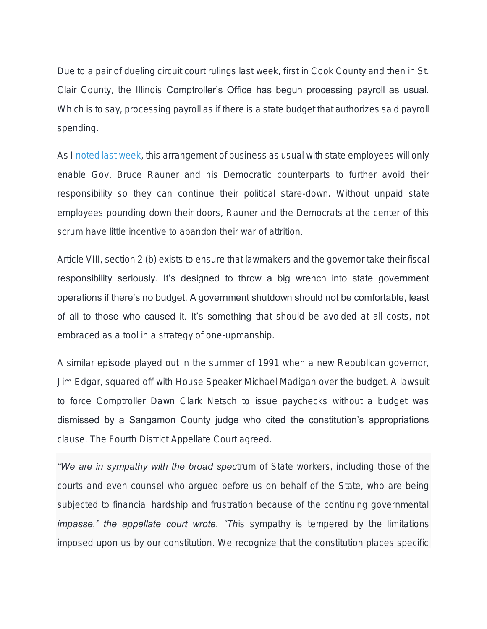Due to a pair of dueling circuit court rulings last week, first in Cook County and then in St. Clair County, the Illinois Comptroller's Office has begun processing payroll as usual. Which is to say, processing payroll as if there is a state budget that authorizes said payroll spending.

As I [noted last week,](http://www.rebootillinois.com/2015/07/09/editors-picks/mattdietrich/needed-illinois-government-shutdown-pain/40643/) this arrangement of business as usual with state employees will only enable Gov. Bruce Rauner and his Democratic counterparts to further avoid their responsibility so they can continue their political stare-down. Without unpaid state employees pounding down their doors, Rauner and the Democrats at the center of this scrum have little incentive to abandon their war of attrition.

Article VIII, section 2 (b) exists to ensure that lawmakers and the governor take their fiscal responsibility seriously. It's designed to throw a big wrench into state government operations if there's no budget. A government shutdown should not be comfortable, least of all to those who caused it. It's something that should be avoided at all costs, not embraced as a tool in a strategy of one-upmanship.

A similar episode played out in the summer of 1991 when a new Republican governor, Jim Edgar, squared off with House Speaker Michael Madigan over the budget. A lawsuit to force Comptroller Dawn Clark Netsch to issue paychecks without a budget was dismissed by a Sangamon County judge who cited the constitution's appropriations clause. The Fourth District Appellate Court agreed.

*"We are in sympathy with the broad spectrum of State workers, including those of the courts and even counsel who argued before us on behalf of the State, who are being subjected to financial hardship and frustration because of the continuing governmental impasse," the appellate court wrote. "This sympathy is tempered by the limitations imposed upon us by our constitution. We recognize that the constitution places specific*